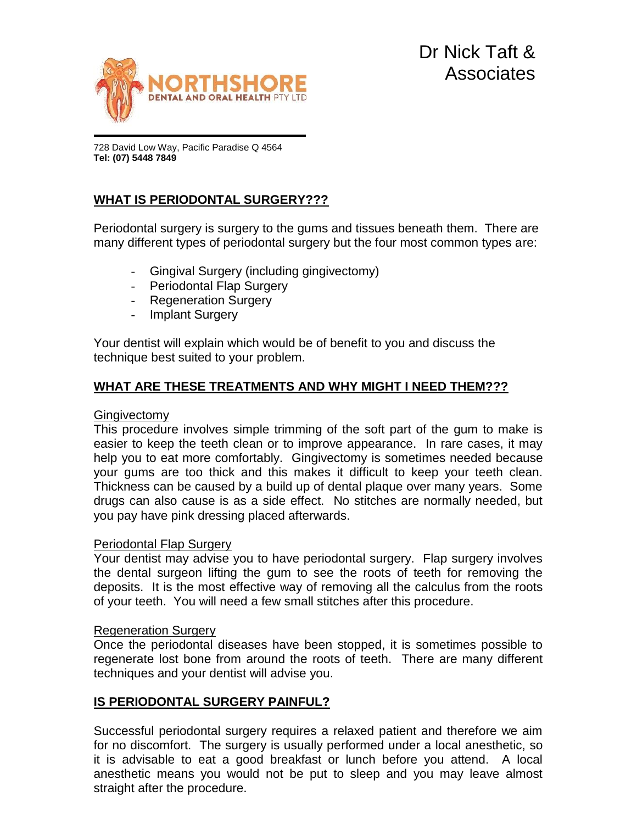

728 David Low Way, Pacific Paradise Q 4564 **Tel: (07) 5448 7849**

# **WHAT IS PERIODONTAL SURGERY???**

Periodontal surgery is surgery to the gums and tissues beneath them. There are many different types of periodontal surgery but the four most common types are:

- Gingival Surgery (including gingivectomy)
- Periodontal Flap Surgery
- Regeneration Surgery
- Implant Surgery

Your dentist will explain which would be of benefit to you and discuss the technique best suited to your problem.

## **WHAT ARE THESE TREATMENTS AND WHY MIGHT I NEED THEM???**

#### **Gingivectomy**

This procedure involves simple trimming of the soft part of the gum to make is easier to keep the teeth clean or to improve appearance. In rare cases, it may help you to eat more comfortably. Gingivectomy is sometimes needed because your gums are too thick and this makes it difficult to keep your teeth clean. Thickness can be caused by a build up of dental plaque over many years. Some drugs can also cause is as a side effect. No stitches are normally needed, but you pay have pink dressing placed afterwards.

#### Periodontal Flap Surgery

Your dentist may advise you to have periodontal surgery. Flap surgery involves the dental surgeon lifting the gum to see the roots of teeth for removing the deposits. It is the most effective way of removing all the calculus from the roots of your teeth. You will need a few small stitches after this procedure.

#### Regeneration Surgery

Once the periodontal diseases have been stopped, it is sometimes possible to regenerate lost bone from around the roots of teeth. There are many different techniques and your dentist will advise you.

## **IS PERIODONTAL SURGERY PAINFUL?**

Successful periodontal surgery requires a relaxed patient and therefore we aim for no discomfort. The surgery is usually performed under a local anesthetic, so it is advisable to eat a good breakfast or lunch before you attend. A local anesthetic means you would not be put to sleep and you may leave almost straight after the procedure.